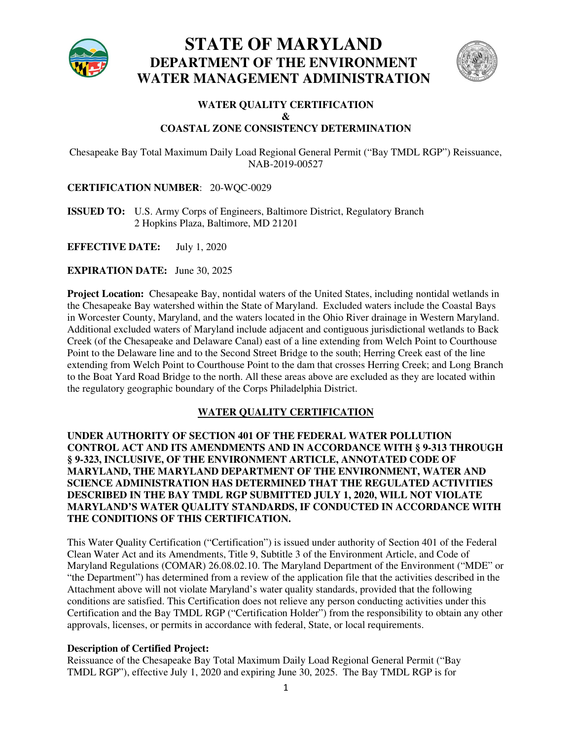

**STATE OF MARYLAND DEPARTMENT OF THE ENVIRONMENT WATER MANAGEMENT ADMINISTRATION** 



#### **WATER QUALITY CERTIFICATION & COASTAL ZONE CONSISTENCY DETERMINATION**

Chesapeake Bay Total Maximum Daily Load Regional General Permit ("Bay TMDL RGP") Reissuance, NAB-2019-00527

#### **CERTIFICATION NUMBER**:20-WQC-0029

**ISSUED TO:** U.S. Army Corps of Engineers, Baltimore District, Regulatory Branch 2 Hopkins Plaza, Baltimore, MD 21201

**EFFECTIVE DATE:** July 1, 2020

**EXPIRATION DATE:** June 30, 2025

**Project Location:** Chesapeake Bay, nontidal waters of the United States, including nontidal wetlands in the Chesapeake Bay watershed within the State of Maryland. Excluded waters include the Coastal Bays in Worcester County, Maryland, and the waters located in the Ohio River drainage in Western Maryland. Additional excluded waters of Maryland include adjacent and contiguous jurisdictional wetlands to Back Creek (of the Chesapeake and Delaware Canal) east of a line extending from Welch Point to Courthouse Point to the Delaware line and to the Second Street Bridge to the south; Herring Creek east of the line extending from Welch Point to Courthouse Point to the dam that crosses Herring Creek; and Long Branch to the Boat Yard Road Bridge to the north. All these areas above are excluded as they are located within the regulatory geographic boundary of the Corps Philadelphia District.

#### **WATER QUALITY CERTIFICATION**

**UNDER AUTHORITY OF SECTION 401 OF THE FEDERAL WATER POLLUTION CONTROL ACT AND ITS AMENDMENTS AND IN ACCORDANCE WITH § 9-313 THROUGH § 9-323, INCLUSIVE, OF THE ENVIRONMENT ARTICLE, ANNOTATED CODE OF MARYLAND, THE MARYLAND DEPARTMENT OF THE ENVIRONMENT, WATER AND SCIENCE ADMINISTRATION HAS DETERMINED THAT THE REGULATED ACTIVITIES DESCRIBED IN THE BAY TMDL RGP SUBMITTED JULY 1, 2020, WILL NOT VIOLATE MARYLAND'S WATER QUALITY STANDARDS, IF CONDUCTED IN ACCORDANCE WITH THE CONDITIONS OF THIS CERTIFICATION.** 

This Water Quality Certification ("Certification") is issued under authority of Section 401 of the Federal Clean Water Act and its Amendments, Title 9, Subtitle 3 of the Environment Article, and Code of Maryland Regulations (COMAR) 26.08.02.10. The Maryland Department of the Environment ("MDE" or "the Department") has determined from a review of the application file that the activities described in the Attachment above will not violate Maryland's water quality standards, provided that the following conditions are satisfied. This Certification does not relieve any person conducting activities under this Certification and the Bay TMDL RGP ("Certification Holder") from the responsibility to obtain any other approvals, licenses, or permits in accordance with federal, State, or local requirements.

#### **Description of Certified Project:**

Reissuance of the Chesapeake Bay Total Maximum Daily Load Regional General Permit ("Bay TMDL RGP"), effective July 1, 2020 and expiring June 30, 2025. The Bay TMDL RGP is for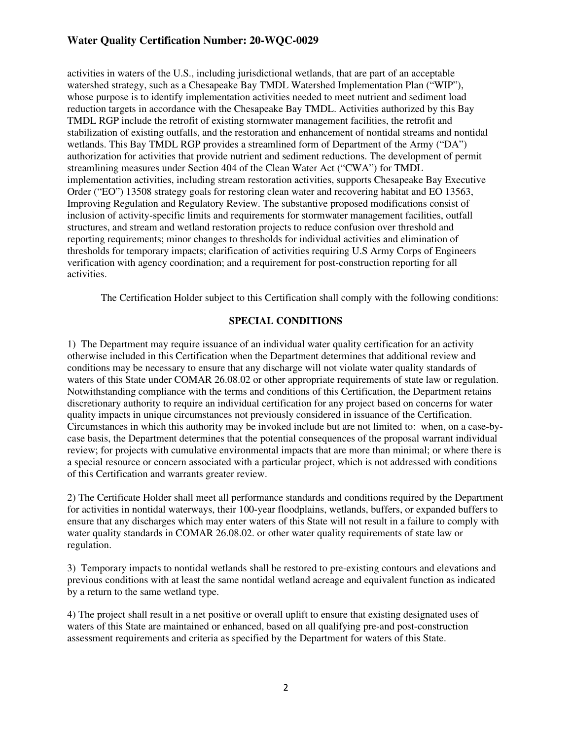#### **Water Quality Certification Number: 20-WQC-0029**

activities in waters of the U.S., including jurisdictional wetlands, that are part of an acceptable watershed strategy, such as a Chesapeake Bay TMDL Watershed Implementation Plan ("WIP"), whose purpose is to identify implementation activities needed to meet nutrient and sediment load reduction targets in accordance with the Chesapeake Bay TMDL. Activities authorized by this Bay TMDL RGP include the retrofit of existing stormwater management facilities, the retrofit and stabilization of existing outfalls, and the restoration and enhancement of nontidal streams and nontidal wetlands. This Bay TMDL RGP provides a streamlined form of Department of the Army ("DA") authorization for activities that provide nutrient and sediment reductions. The development of permit streamlining measures under Section 404 of the Clean Water Act ("CWA") for TMDL implementation activities, including stream restoration activities, supports Chesapeake Bay Executive Order ("EO") 13508 strategy goals for restoring clean water and recovering habitat and EO 13563, Improving Regulation and Regulatory Review. The substantive proposed modifications consist of inclusion of activity-specific limits and requirements for stormwater management facilities, outfall structures, and stream and wetland restoration projects to reduce confusion over threshold and reporting requirements; minor changes to thresholds for individual activities and elimination of thresholds for temporary impacts; clarification of activities requiring U.S Army Corps of Engineers verification with agency coordination; and a requirement for post-construction reporting for all activities.

The Certification Holder subject to this Certification shall comply with the following conditions:

#### **SPECIAL CONDITIONS**

1) The Department may require issuance of an individual water quality certification for an activity otherwise included in this Certification when the Department determines that additional review and conditions may be necessary to ensure that any discharge will not violate water quality standards of waters of this State under COMAR 26.08.02 or other appropriate requirements of state law or regulation. Notwithstanding compliance with the terms and conditions of this Certification, the Department retains discretionary authority to require an individual certification for any project based on concerns for water quality impacts in unique circumstances not previously considered in issuance of the Certification. Circumstances in which this authority may be invoked include but are not limited to: when, on a case-bycase basis, the Department determines that the potential consequences of the proposal warrant individual review; for projects with cumulative environmental impacts that are more than minimal; or where there is a special resource or concern associated with a particular project, which is not addressed with conditions of this Certification and warrants greater review.

2) The Certificate Holder shall meet all performance standards and conditions required by the Department for activities in nontidal waterways, their 100-year floodplains, wetlands, buffers, or expanded buffers to ensure that any discharges which may enter waters of this State will not result in a failure to comply with water quality standards in COMAR 26.08.02. or other water quality requirements of state law or regulation.

3) Temporary impacts to nontidal wetlands shall be restored to pre-existing contours and elevations and previous conditions with at least the same nontidal wetland acreage and equivalent function as indicated by a return to the same wetland type.

4) The project shall result in a net positive or overall uplift to ensure that existing designated uses of waters of this State are maintained or enhanced, based on all qualifying pre-and post-construction assessment requirements and criteria as specified by the Department for waters of this State.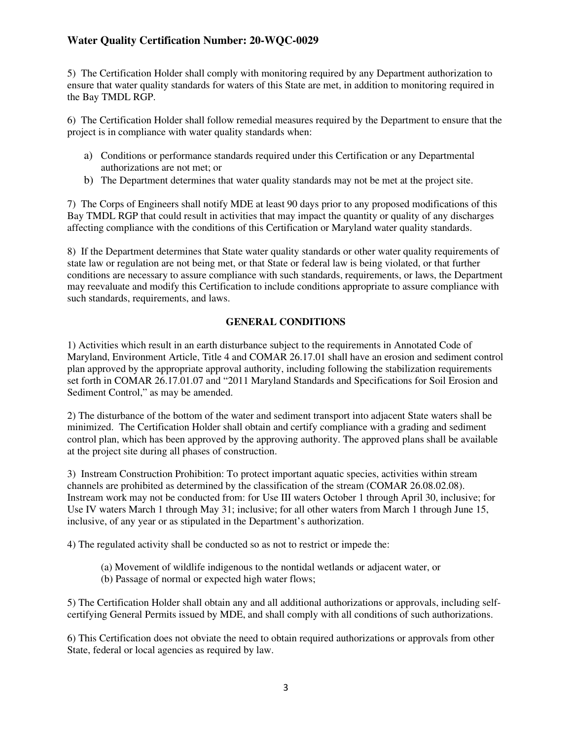## **Water Quality Certification Number: 20-WQC-0029**

5) The Certification Holder shall comply with monitoring required by any Department authorization to ensure that water quality standards for waters of this State are met, in addition to monitoring required in the Bay TMDL RGP.

6) The Certification Holder shall follow remedial measures required by the Department to ensure that the project is in compliance with water quality standards when:

- a) Conditions or performance standards required under this Certification or any Departmental authorizations are not met; or
- b) The Department determines that water quality standards may not be met at the project site.

7) The Corps of Engineers shall notify MDE at least 90 days prior to any proposed modifications of this Bay TMDL RGP that could result in activities that may impact the quantity or quality of any discharges affecting compliance with the conditions of this Certification or Maryland water quality standards.

8) If the Department determines that State water quality standards or other water quality requirements of state law or regulation are not being met, or that State or federal law is being violated, or that further conditions are necessary to assure compliance with such standards, requirements, or laws, the Department may reevaluate and modify this Certification to include conditions appropriate to assure compliance with such standards, requirements, and laws.

#### **GENERAL CONDITIONS**

1) Activities which result in an earth disturbance subject to the requirements in Annotated Code of Maryland, Environment Article, Title 4 and COMAR 26.17.01 shall have an erosion and sediment control plan approved by the appropriate approval authority, including following the stabilization requirements set forth in COMAR 26.17.01.07 and "2011 Maryland Standards and Specifications for Soil Erosion and Sediment Control," as may be amended.

2) The disturbance of the bottom of the water and sediment transport into adjacent State waters shall be minimized. The Certification Holder shall obtain and certify compliance with a grading and sediment control plan, which has been approved by the approving authority. The approved plans shall be available at the project site during all phases of construction.

3) Instream Construction Prohibition: To protect important aquatic species, activities within stream channels are prohibited as determined by the classification of the stream (COMAR 26.08.02.08). Instream work may not be conducted from: for Use III waters October 1 through April 30, inclusive; for Use IV waters March 1 through May 31; inclusive; for all other waters from March 1 through June 15, inclusive, of any year or as stipulated in the Department's authorization.

4) The regulated activity shall be conducted so as not to restrict or impede the:

- (a) Movement of wildlife indigenous to the nontidal wetlands or adjacent water, or
- (b) Passage of normal or expected high water flows;

5) The Certification Holder shall obtain any and all additional authorizations or approvals, including selfcertifying General Permits issued by MDE, and shall comply with all conditions of such authorizations.

6) This Certification does not obviate the need to obtain required authorizations or approvals from other State, federal or local agencies as required by law.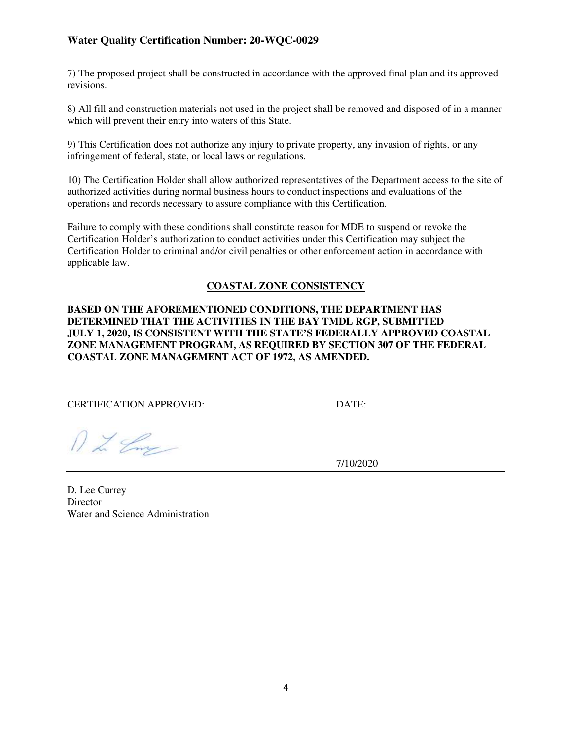## **Water Quality Certification Number: 20-WQC-0029**

7) The proposed project shall be constructed in accordance with the approved final plan and its approved revisions.

8) All fill and construction materials not used in the project shall be removed and disposed of in a manner which will prevent their entry into waters of this State.

9) This Certification does not authorize any injury to private property, any invasion of rights, or any infringement of federal, state, or local laws or regulations.

10) The Certification Holder shall allow authorized representatives of the Department access to the site of authorized activities during normal business hours to conduct inspections and evaluations of the operations and records necessary to assure compliance with this Certification.

Failure to comply with these conditions shall constitute reason for MDE to suspend or revoke the Certification Holder's authorization to conduct activities under this Certification may subject the Certification Holder to criminal and/or civil penalties or other enforcement action in accordance with applicable law.

#### **COASTAL ZONE CONSISTENCY**

**BASED ON THE AFOREMENTIONED CONDITIONS, THE DEPARTMENT HAS DETERMINED THAT THE ACTIVITIES IN THE BAY TMDL RGP, SUBMITTED JULY 1, 2020, IS CONSISTENT WITH THE STATE'S FEDERALLY APPROVED COASTAL ZONE MANAGEMENT PROGRAM, AS REQUIRED BY SECTION 307 OF THE FEDERAL COASTAL ZONE MANAGEMENT ACT OF 1972, AS AMENDED.** 

CERTIFICATION APPROVED: DATE:

 $122$ 

7/10/2020

D. Lee Currey **Director** Water and Science Administration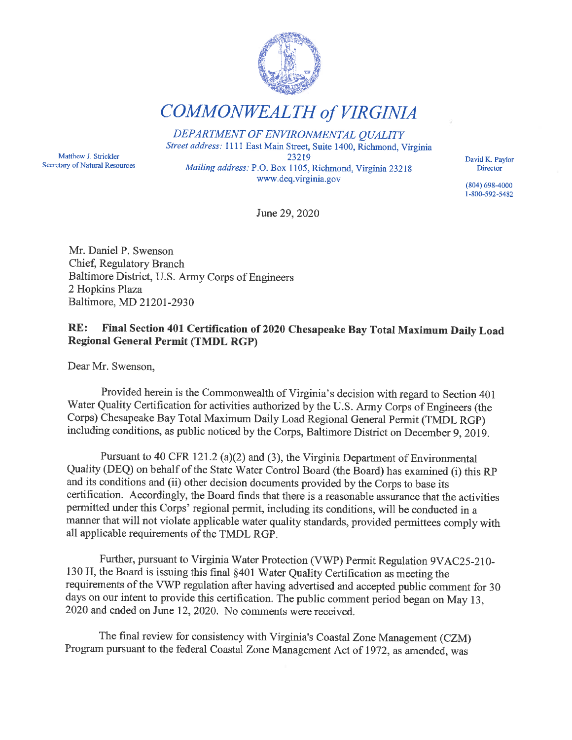

COMMONWEALTH of VIRGINIA

DEPARTMENT OF ENVIRONMENTAL QUALITY Street address: 1111 East Main Street, Suite 1400, Richmond, Virginia 23219 Mailing address: P.O. Box 1105, Richmond, Virginia 23218 www.deq.virginia.gov

Matthew J. Strickler Secretary of Natural Resources

June 29, 2020

Mr. Daniel P. Swenson Chief, Regulatory Branch Baltimore District, U. S. Army Corps of Engineers 2 Hopkins Plaza Baltimore, MD 21201-2930

## RE: Final Section 401 Certification of 2020 Chesapeake Bay Total Maximum Daily Load Regional General Permit (TMDL RGP)

Dear Mr. Swenson,

Provided herein is the Commonwealth of Virginia's decision with regard to Section 401 Water Quality Certification for activities authorized by the U. S. Army Corps of Engineers (the Corps) Chesapeake Bay Total Maximum Daily Load Regional General Permit (TMDL RGP) including conditions, as public noticed by the Corps, Baltimore District on December 9, 2019.

Pursuant to 40 CFR 121.2 (a)(2) and (3), the Virginia Department of Environmental Quality (DEQ) on behalf of the State Water Control Board (the Board) has examined (i) this RP and its conditions and (ii) other decision documents provided by the Corps to base its certification. Accordingly, the Board finds that there is a reasonable assurance that the activities permitted under this Corps' regional permit, including its conditions, will be conducted in a manner that will not violate applicable water quality standards, provided permittees comply with all applicable requirements of the TMDL RGP.

Further, pursuant to Virginia Water Protection (VWP) Permit Regulation 9VAC25-210- 130 H, the Board is issuing this final §401 Water Quality Certification as meeting the requirements of the VWP regulation after having advertised and accepted public comment for 30 days on our intent to provide this certification. The public comment period began on May 13, 2020 and ended on June 12, 2020. No comments were received.

The final review for consistency with Virginia's Coastal Zone Management (CZM) Program pursuant to the federal Coastal Zone Management Act of 1972, as amended, was

David K. Paylor **Director** 

(804) 698-4000 1-800-592-5482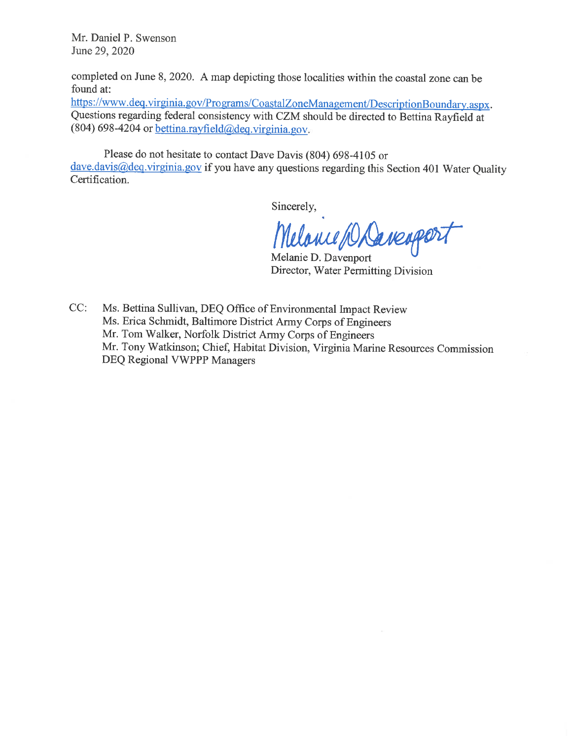Mr. Daniel P. Swenson June 29, 2020

completed on June 8, 2020. A map depicting those localities within the coastal zone can be found at:

https://www.deq.virginia.gov/Programs/CoastalZoneManagement/DescriptionBoundary.aspx. Questions regarding federal consistency with CZM should be directed to Bettina Rayfield at (804) 698-4204 or **bettina**.rayfield@deq.virginia.gov.

Please do not hesitate to contact Dave Davis (804) 698-4105 or dave.davis@deq.virginia.gov if you have any questions regarding this Section 401 Water Quality Certification.

Sincerely,

Melance Daverport

Melanie D. Davenport Director, Water Permitting Division

CC: Ms. Bettina Sullivan, DEQ Office of Environmental Impact Review Ms. Erica Schmidt, Baltimore District Army Corps of Engineers Mr. Tom Walker, Norfolk District Army Corps of Engineers Mr. Tony Watkinson; Chief, Habitat Division, Virginia Marine Resources Commission DEQ Regional VWPPP Managers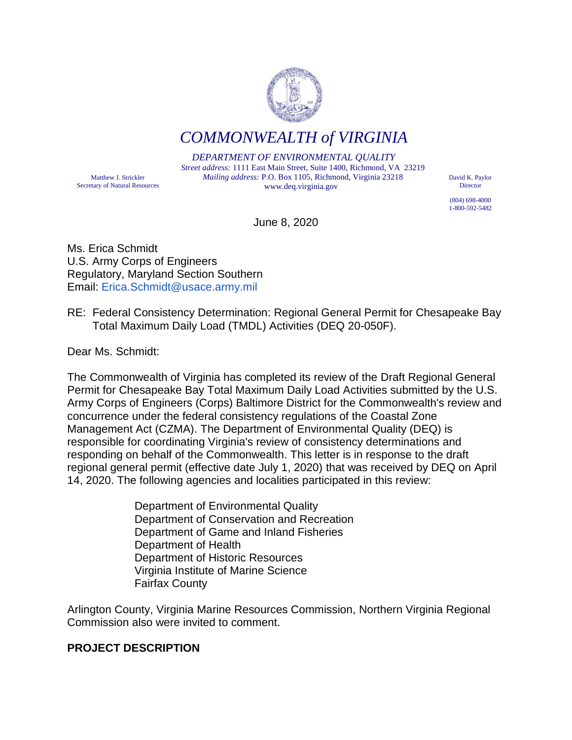

*COMMONWEALTH of VIRGINIA*

*DEPARTMENT OF ENVIRONMENTAL QUALITY Street address:* 1111 East Main Street, Suite 1400, Richmond, VA 23219 *Mailing address:* P.O. Box 1105, Richmond, Virginia 23218 www.deq.virginia.gov

David K. Paylor Director

(804) 698-4000 1-800-592-5482

June 8, 2020

Ms. Erica Schmidt U.S. Army Corps of Engineers Regulatory, Maryland Section Southern Email: Erica.Schmidt@usace.army.mil

RE: Federal Consistency Determination: Regional General Permit for Chesapeake Bay Total Maximum Daily Load (TMDL) Activities (DEQ 20-050F).

Dear Ms. Schmidt:

Matthew J. Strickler Secretary of Natural Resources

The Commonwealth of Virginia has completed its review of the Draft Regional General Permit for Chesapeake Bay Total Maximum Daily Load Activities submitted by the U.S. Army Corps of Engineers (Corps) Baltimore District for the Commonwealth's review and concurrence under the federal consistency regulations of the Coastal Zone Management Act (CZMA). The Department of Environmental Quality (DEQ) is responsible for coordinating Virginia's review of consistency determinations and responding on behalf of the Commonwealth. This letter is in response to the draft regional general permit (effective date July 1, 2020) that was received by DEQ on April 14, 2020. The following agencies and localities participated in this review:

> Department of Environmental Quality Department of Conservation and Recreation Department of Game and Inland Fisheries Department of Health Department of Historic Resources Virginia Institute of Marine Science Fairfax County

Arlington County, Virginia Marine Resources Commission, Northern Virginia Regional Commission also were invited to comment.

## **PROJECT DESCRIPTION**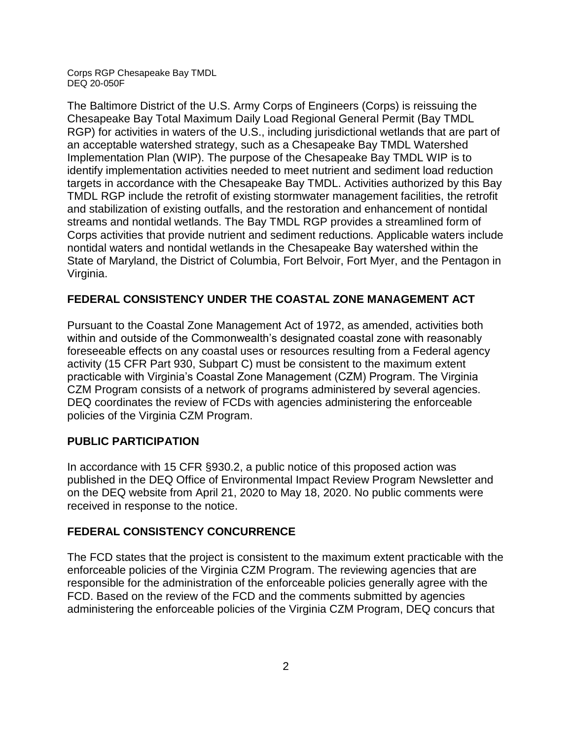The Baltimore District of the U.S. Army Corps of Engineers (Corps) is reissuing the Chesapeake Bay Total Maximum Daily Load Regional General Permit (Bay TMDL RGP) for activities in waters of the U.S., including jurisdictional wetlands that are part of an acceptable watershed strategy, such as a Chesapeake Bay TMDL Watershed Implementation Plan (WIP). The purpose of the Chesapeake Bay TMDL WIP is to identify implementation activities needed to meet nutrient and sediment load reduction targets in accordance with the Chesapeake Bay TMDL. Activities authorized by this Bay TMDL RGP include the retrofit of existing stormwater management facilities, the retrofit and stabilization of existing outfalls, and the restoration and enhancement of nontidal streams and nontidal wetlands. The Bay TMDL RGP provides a streamlined form of Corps activities that provide nutrient and sediment reductions. Applicable waters include nontidal waters and nontidal wetlands in the Chesapeake Bay watershed within the State of Maryland, the District of Columbia, Fort Belvoir, Fort Myer, and the Pentagon in Virginia.

## **FEDERAL CONSISTENCY UNDER THE COASTAL ZONE MANAGEMENT ACT**

Pursuant to the Coastal Zone Management Act of 1972, as amended, activities both within and outside of the Commonwealth's designated coastal zone with reasonably foreseeable effects on any coastal uses or resources resulting from a Federal agency activity (15 CFR Part 930, Subpart C) must be consistent to the maximum extent practicable with Virginia's Coastal Zone Management (CZM) Program. The Virginia CZM Program consists of a network of programs administered by several agencies. DEQ coordinates the review of FCDs with agencies administering the enforceable policies of the Virginia CZM Program.

## **PUBLIC PARTICIPATION**

In accordance with 15 CFR §930.2, a public notice of this proposed action was published in the DEQ Office of Environmental Impact Review Program Newsletter and on the DEQ website from April 21, 2020 to May 18, 2020. No public comments were received in response to the notice.

## **FEDERAL CONSISTENCY CONCURRENCE**

The FCD states that the project is consistent to the maximum extent practicable with the enforceable policies of the Virginia CZM Program. The reviewing agencies that are responsible for the administration of the enforceable policies generally agree with the FCD. Based on the review of the FCD and the comments submitted by agencies administering the enforceable policies of the Virginia CZM Program, DEQ concurs that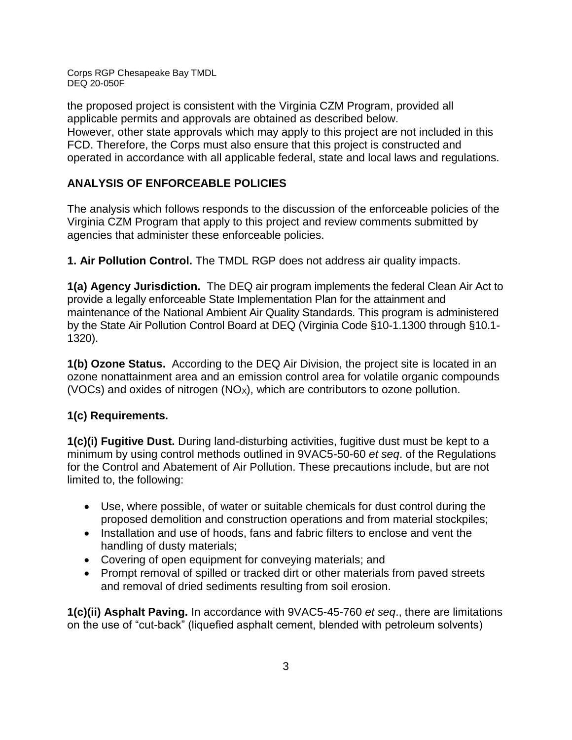the proposed project is consistent with the Virginia CZM Program, provided all applicable permits and approvals are obtained as described below. However, other state approvals which may apply to this project are not included in this FCD. Therefore, the Corps must also ensure that this project is constructed and operated in accordance with all applicable federal, state and local laws and regulations.

# **ANALYSIS OF ENFORCEABLE POLICIES**

The analysis which follows responds to the discussion of the enforceable policies of the Virginia CZM Program that apply to this project and review comments submitted by agencies that administer these enforceable policies.

**1. Air Pollution Control.** The TMDL RGP does not address air quality impacts.

**1(a) Agency Jurisdiction.** The DEQ air program implements the federal Clean Air Act to provide a legally enforceable State Implementation Plan for the attainment and maintenance of the National Ambient Air Quality Standards. This program is administered by the State Air Pollution Control Board at DEQ (Virginia Code §10-1.1300 through §10.1- 1320).

**1(b) Ozone Status.** According to the DEQ Air Division, the project site is located in an ozone nonattainment area and an emission control area for volatile organic compounds (VOCs) and oxides of nitrogen  $(NO_x)$ , which are contributors to ozone pollution.

## **1(c) Requirements.**

**1(c)(i) Fugitive Dust.** During land-disturbing activities, fugitive dust must be kept to a minimum by using control methods outlined in 9VAC5-50-60 *et seq*. of the Regulations for the Control and Abatement of Air Pollution. These precautions include, but are not limited to, the following:

- Use, where possible, of water or suitable chemicals for dust control during the proposed demolition and construction operations and from material stockpiles;
- Installation and use of hoods, fans and fabric filters to enclose and vent the handling of dusty materials;
- Covering of open equipment for conveying materials; and
- Prompt removal of spilled or tracked dirt or other materials from paved streets and removal of dried sediments resulting from soil erosion.

**1(c)(ii) Asphalt Paving.** In accordance with 9VAC5-45-760 *et seq*., there are limitations on the use of "cut-back" (liquefied asphalt cement, blended with petroleum solvents)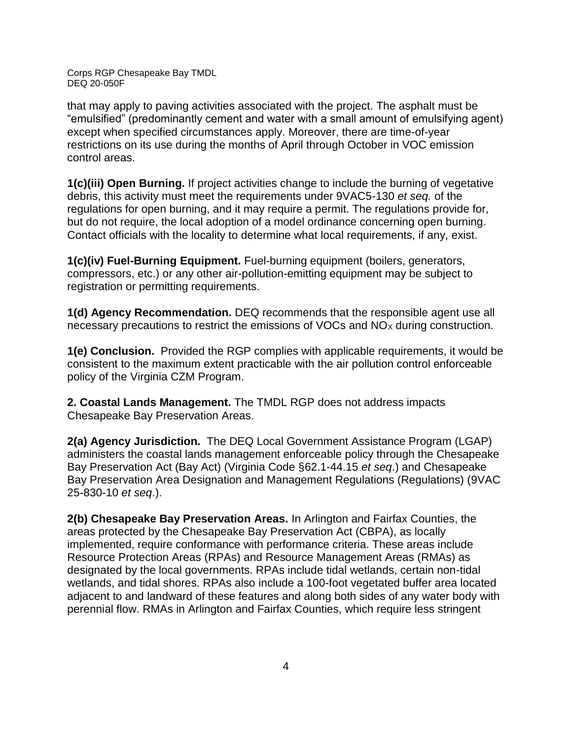that may apply to paving activities associated with the project. The asphalt must be "emulsified" (predominantly cement and water with a small amount of emulsifying agent) except when specified circumstances apply. Moreover, there are time-of-year restrictions on its use during the months of April through October in VOC emission control areas.

**1(c)(iii) Open Burning.** If project activities change to include the burning of vegetative debris, this activity must meet the requirements under 9VAC5-130 *et seq.* of the regulations for open burning, and it may require a permit. The regulations provide for, but do not require, the local adoption of a model ordinance concerning open burning. Contact officials with the locality to determine what local requirements, if any, exist.

**1(c)(iv) Fuel-Burning Equipment.** Fuel-burning equipment (boilers, generators, compressors, etc.) or any other air-pollution-emitting equipment may be subject to registration or permitting requirements.

**1(d) Agency Recommendation.** DEQ recommends that the responsible agent use all necessary precautions to restrict the emissions of VOCs and  $NO<sub>X</sub>$  during construction.

**1(e) Conclusion.** Provided the RGP complies with applicable requirements, it would be consistent to the maximum extent practicable with the air pollution control enforceable policy of the Virginia CZM Program.

**2. Coastal Lands Management.** The TMDL RGP does not address impacts Chesapeake Bay Preservation Areas.

**2(a) Agency Jurisdiction.** The DEQ Local Government Assistance Program (LGAP) administers the coastal lands management enforceable policy through the Chesapeake Bay Preservation Act (Bay Act) (Virginia Code §62.1-44.15 *et seq*.) and Chesapeake Bay Preservation Area Designation and Management Regulations (Regulations) (9VAC 25-830-10 *et seq*.).

**2(b) Chesapeake Bay Preservation Areas.** In Arlington and Fairfax Counties, the areas protected by the Chesapeake Bay Preservation Act (CBPA), as locally implemented, require conformance with performance criteria. These areas include Resource Protection Areas (RPAs) and Resource Management Areas (RMAs) as designated by the local governments. RPAs include tidal wetlands, certain non-tidal wetlands, and tidal shores. RPAs also include a 100-foot vegetated buffer area located adjacent to and landward of these features and along both sides of any water body with perennial flow. RMAs in Arlington and Fairfax Counties, which require less stringent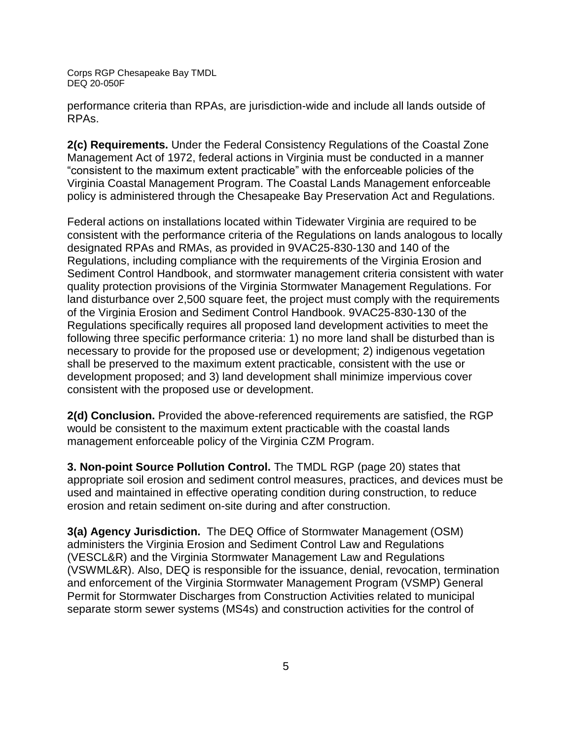performance criteria than RPAs, are jurisdiction-wide and include all lands outside of RPAs.

**2(c) Requirements.** Under the Federal Consistency Regulations of the Coastal Zone Management Act of 1972, federal actions in Virginia must be conducted in a manner "consistent to the maximum extent practicable" with the enforceable policies of the Virginia Coastal Management Program. The Coastal Lands Management enforceable policy is administered through the Chesapeake Bay Preservation Act and Regulations.

Federal actions on installations located within Tidewater Virginia are required to be consistent with the performance criteria of the Regulations on lands analogous to locally designated RPAs and RMAs, as provided in 9VAC25-830-130 and 140 of the Regulations, including compliance with the requirements of the Virginia Erosion and Sediment Control Handbook, and stormwater management criteria consistent with water quality protection provisions of the Virginia Stormwater Management Regulations. For land disturbance over 2,500 square feet, the project must comply with the requirements of the Virginia Erosion and Sediment Control Handbook. 9VAC25-830-130 of the Regulations specifically requires all proposed land development activities to meet the following three specific performance criteria: 1) no more land shall be disturbed than is necessary to provide for the proposed use or development; 2) indigenous vegetation shall be preserved to the maximum extent practicable, consistent with the use or development proposed; and 3) land development shall minimize impervious cover consistent with the proposed use or development.

**2(d) Conclusion.** Provided the above-referenced requirements are satisfied, the RGP would be consistent to the maximum extent practicable with the coastal lands management enforceable policy of the Virginia CZM Program.

**3. Non-point Source Pollution Control.** The TMDL RGP (page 20) states that appropriate soil erosion and sediment control measures, practices, and devices must be used and maintained in effective operating condition during construction, to reduce erosion and retain sediment on-site during and after construction.

**3(a) Agency Jurisdiction.** The DEQ Office of Stormwater Management (OSM) administers the Virginia Erosion and Sediment Control Law and Regulations (VESCL&R) and the Virginia Stormwater Management Law and Regulations (VSWML&R). Also, DEQ is responsible for the issuance, denial, revocation, termination and enforcement of the Virginia Stormwater Management Program (VSMP) General Permit for Stormwater Discharges from Construction Activities related to municipal separate storm sewer systems (MS4s) and construction activities for the control of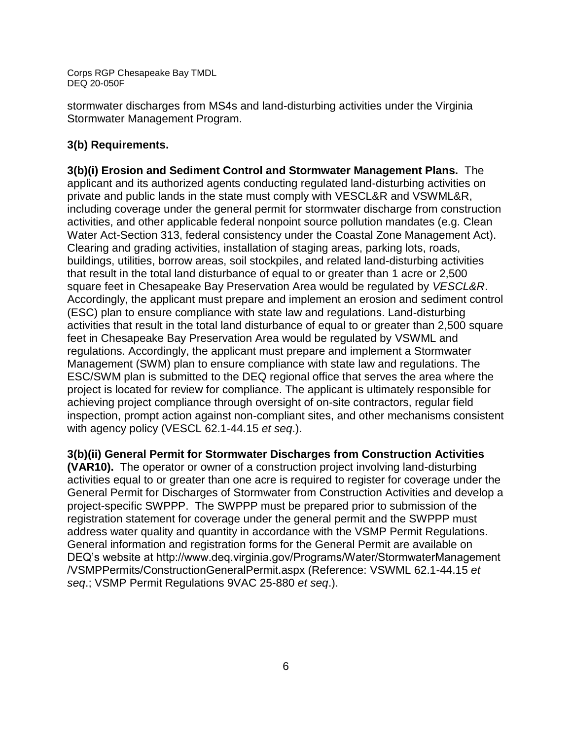stormwater discharges from MS4s and land-disturbing activities under the Virginia Stormwater Management Program.

## **3(b) Requirements.**

**3(b)(i) Erosion and Sediment Control and Stormwater Management Plans.** The applicant and its authorized agents conducting regulated land-disturbing activities on private and public lands in the state must comply with VESCL&R and VSWML&R, including coverage under the general permit for stormwater discharge from construction activities, and other applicable federal nonpoint source pollution mandates (e.g. Clean Water Act-Section 313, federal consistency under the Coastal Zone Management Act). Clearing and grading activities, installation of staging areas, parking lots, roads, buildings, utilities, borrow areas, soil stockpiles, and related land-disturbing activities that result in the total land disturbance of equal to or greater than 1 acre or 2,500 square feet in Chesapeake Bay Preservation Area would be regulated by *VESCL&R*. Accordingly, the applicant must prepare and implement an erosion and sediment control (ESC) plan to ensure compliance with state law and regulations. Land-disturbing activities that result in the total land disturbance of equal to or greater than 2,500 square feet in Chesapeake Bay Preservation Area would be regulated by VSWML and regulations. Accordingly, the applicant must prepare and implement a Stormwater Management (SWM) plan to ensure compliance with state law and regulations. The ESC/SWM plan is submitted to the DEQ regional office that serves the area where the project is located for review for compliance. The applicant is ultimately responsible for achieving project compliance through oversight of on-site contractors, regular field inspection, prompt action against non-compliant sites, and other mechanisms consistent with agency policy (VESCL 62.1-44.15 *et seq*.).

**3(b)(ii) General Permit for Stormwater Discharges from Construction Activities** 

**(VAR10).** The operator or owner of a construction project involving land-disturbing activities equal to or greater than one acre is required to register for coverage under the General Permit for Discharges of Stormwater from Construction Activities and develop a project-specific SWPPP. The SWPPP must be prepared prior to submission of the registration statement for coverage under the general permit and the SWPPP must address water quality and quantity in accordance with the VSMP Permit Regulations. General information and registration forms for the General Permit are available on DEQ's website at http://www.deq.virginia.gov/Programs/Water/StormwaterManagement /VSMPPermits/ConstructionGeneralPermit.aspx (Reference: VSWML 62.1-44.15 *et seq*.; VSMP Permit Regulations 9VAC 25-880 *et seq*.).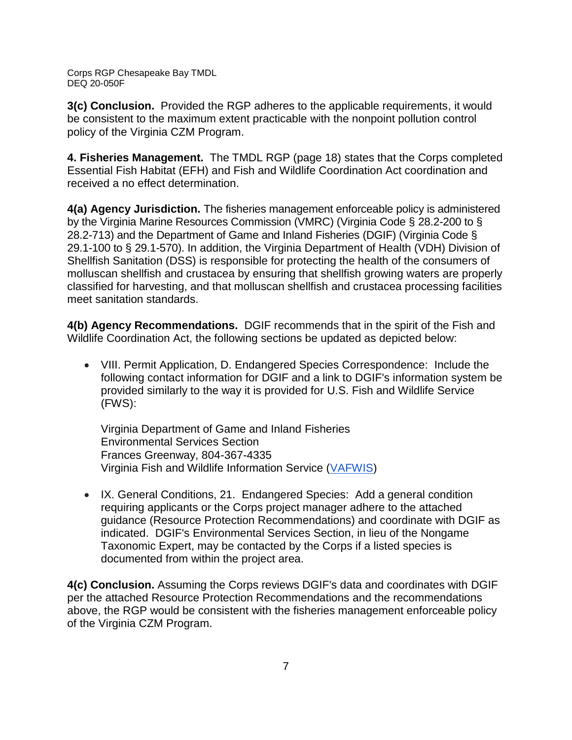**3(c) Conclusion.** Provided the RGP adheres to the applicable requirements, it would be consistent to the maximum extent practicable with the nonpoint pollution control policy of the Virginia CZM Program.

**4. Fisheries Management.** The TMDL RGP (page 18) states that the Corps completed Essential Fish Habitat (EFH) and Fish and Wildlife Coordination Act coordination and received a no effect determination.

**4(a) Agency Jurisdiction.** The fisheries management enforceable policy is administered by the Virginia Marine Resources Commission (VMRC) (Virginia Code § 28.2-200 to § 28.2-713) and the Department of Game and Inland Fisheries (DGIF) (Virginia Code § 29.1-100 to § 29.1-570). In addition, the Virginia Department of Health (VDH) Division of Shellfish Sanitation (DSS) is responsible for protecting the health of the consumers of molluscan shellfish and crustacea by ensuring that shellfish growing waters are properly classified for harvesting, and that molluscan shellfish and crustacea processing facilities meet sanitation standards.

**4(b) Agency Recommendations.** DGIF recommends that in the spirit of the Fish and Wildlife Coordination Act, the following sections be updated as depicted below:

 VIII. Permit Application, D. Endangered Species Correspondence: Include the following contact information for DGIF and a link to DGIF's information system be provided similarly to the way it is provided for U.S. Fish and Wildlife Service (FWS):

Virginia Department of Game and Inland Fisheries Environmental Services Section Frances Greenway, 804-367-4335 Virginia Fish and Wildlife Information Service [\(VAFWIS\)](https://vafwis.dgif.virginia.gov/fwis/)

• IX. General Conditions, 21. Endangered Species: Add a general condition requiring applicants or the Corps project manager adhere to the attached guidance (Resource Protection Recommendations) and coordinate with DGIF as indicated. DGIF's Environmental Services Section, in lieu of the Nongame Taxonomic Expert, may be contacted by the Corps if a listed species is documented from within the project area.

**4(c) Conclusion.** Assuming the Corps reviews DGIF's data and coordinates with DGIF per the attached Resource Protection Recommendations and the recommendations above, the RGP would be consistent with the fisheries management enforceable policy of the Virginia CZM Program.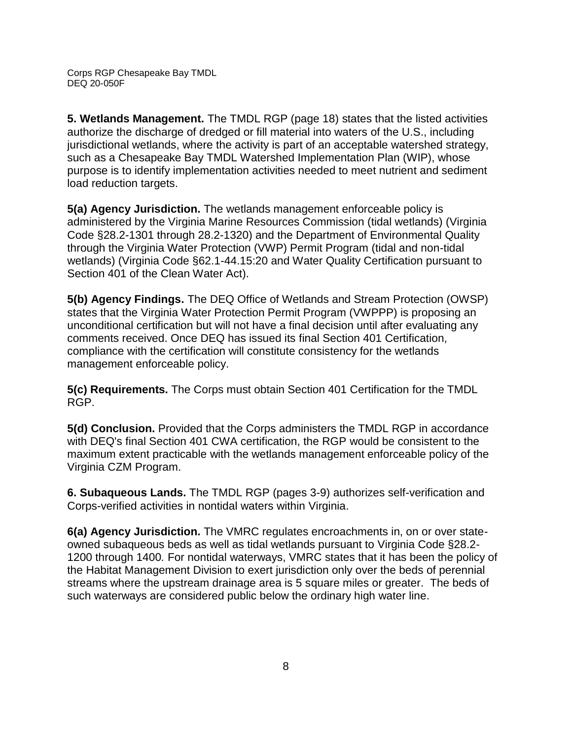**5. Wetlands Management.** The TMDL RGP (page 18) states that the listed activities authorize the discharge of dredged or fill material into waters of the U.S., including jurisdictional wetlands, where the activity is part of an acceptable watershed strategy, such as a Chesapeake Bay TMDL Watershed Implementation Plan (WIP), whose purpose is to identify implementation activities needed to meet nutrient and sediment load reduction targets.

**5(a) Agency Jurisdiction.** The wetlands management enforceable policy is administered by the Virginia Marine Resources Commission (tidal wetlands) (Virginia Code §28.2-1301 through 28.2-1320) and the Department of Environmental Quality through the Virginia Water Protection (VWP) Permit Program (tidal and non-tidal wetlands) (Virginia Code §62.1-44.15:20 and Water Quality Certification pursuant to Section 401 of the Clean Water Act).

**5(b) Agency Findings.** The DEQ Office of Wetlands and Stream Protection (OWSP) states that the Virginia Water Protection Permit Program (VWPPP) is proposing an unconditional certification but will not have a final decision until after evaluating any comments received. Once DEQ has issued its final Section 401 Certification, compliance with the certification will constitute consistency for the wetlands management enforceable policy.

**5(c) Requirements.** The Corps must obtain Section 401 Certification for the TMDL RGP.

**5(d) Conclusion.** Provided that the Corps administers the TMDL RGP in accordance with DEQ's final Section 401 CWA certification, the RGP would be consistent to the maximum extent practicable with the wetlands management enforceable policy of the Virginia CZM Program.

**6. Subaqueous Lands.** The TMDL RGP (pages 3-9) authorizes self-verification and Corps-verified activities in nontidal waters within Virginia.

**6(a) Agency Jurisdiction.** The VMRC regulates encroachments in, on or over stateowned subaqueous beds as well as tidal wetlands pursuant to Virginia Code §28.2- 1200 through 1400*.* For nontidal waterways, VMRC states that it has been the policy of the Habitat Management Division to exert jurisdiction only over the beds of perennial streams where the upstream drainage area is 5 square miles or greater. The beds of such waterways are considered public below the ordinary high water line.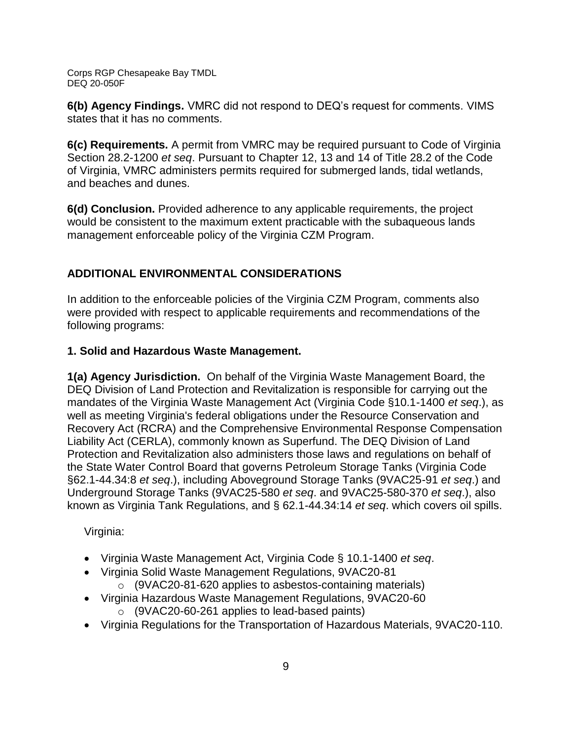**6(b) Agency Findings.** VMRC did not respond to DEQ's request for comments. VIMS states that it has no comments.

**6(c) Requirements.** A permit from VMRC may be required pursuant to Code of Virginia Section 28.2-1200 *et seq*. Pursuant to Chapter 12, 13 and 14 of Title 28.2 of the Code of Virginia, VMRC administers permits required for submerged lands, tidal wetlands, and beaches and dunes.

**6(d) Conclusion.** Provided adherence to any applicable requirements, the project would be consistent to the maximum extent practicable with the subaqueous lands management enforceable policy of the Virginia CZM Program.

# **ADDITIONAL ENVIRONMENTAL CONSIDERATIONS**

In addition to the enforceable policies of the Virginia CZM Program, comments also were provided with respect to applicable requirements and recommendations of the following programs:

## **1. Solid and Hazardous Waste Management.**

**1(a) Agency Jurisdiction.** On behalf of the Virginia Waste Management Board, the DEQ Division of Land Protection and Revitalization is responsible for carrying out the mandates of the Virginia Waste Management Act (Virginia Code §10.1-1400 *et seq*.), as well as meeting Virginia's federal obligations under the Resource Conservation and Recovery Act (RCRA) and the Comprehensive Environmental Response Compensation Liability Act (CERLA), commonly known as Superfund. The DEQ Division of Land Protection and Revitalization also administers those laws and regulations on behalf of the State Water Control Board that governs Petroleum Storage Tanks (Virginia Code §62.1-44.34:8 *et seq*.), including Aboveground Storage Tanks (9VAC25-91 *et seq*.) and Underground Storage Tanks (9VAC25-580 *et seq*. and 9VAC25-580-370 *et seq*.), also known as Virginia Tank Regulations, and § 62.1-44.34:14 *et seq*. which covers oil spills.

Virginia:

- Virginia Waste Management Act, Virginia Code § 10.1-1400 *et seq*.
- Virginia Solid Waste Management Regulations, 9VAC20-81 o (9VAC20-81-620 applies to asbestos-containing materials)
- Virginia Hazardous Waste Management Regulations, 9VAC20-60
	- o (9VAC20-60-261 applies to lead-based paints)
- Virginia Regulations for the Transportation of Hazardous Materials, 9VAC20-110.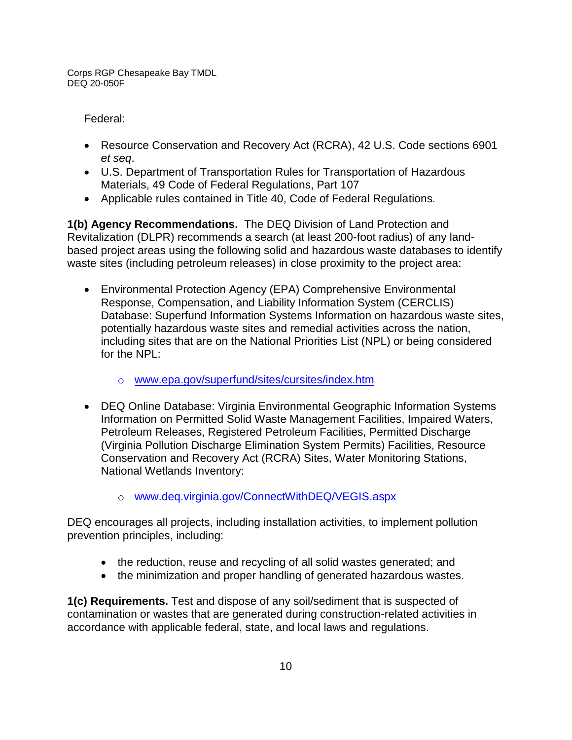Federal:

- Resource Conservation and Recovery Act (RCRA), 42 U.S. Code sections 6901 *et seq*.
- U.S. Department of Transportation Rules for Transportation of Hazardous Materials, 49 Code of Federal Regulations, Part 107
- Applicable rules contained in Title 40, Code of Federal Regulations.

**1(b) Agency Recommendations.** The DEQ Division of Land Protection and Revitalization (DLPR) recommends a search (at least 200-foot radius) of any landbased project areas using the following solid and hazardous waste databases to identify waste sites (including petroleum releases) in close proximity to the project area:

- Environmental Protection Agency (EPA) Comprehensive Environmental Response, Compensation, and Liability Information System (CERCLIS) Database: Superfund Information Systems Information on hazardous waste sites, potentially hazardous waste sites and remedial activities across the nation, including sites that are on the National Priorities List (NPL) or being considered for the NPL:
	- o [www.epa.gov/superfund/sites/cursites/index.htm](http://www.epa.gov/superfund/sites/cursites/index.htm)
- DEQ Online Database: Virginia Environmental Geographic Information Systems Information on Permitted Solid Waste Management Facilities, Impaired Waters, Petroleum Releases, Registered Petroleum Facilities, Permitted Discharge (Virginia Pollution Discharge Elimination System Permits) Facilities, Resource Conservation and Recovery Act (RCRA) Sites, Water Monitoring Stations, National Wetlands Inventory:
	- o www.deq.virginia.gov/ConnectWithDEQ/VEGIS.aspx

DEQ encourages all projects, including installation activities, to implement pollution prevention principles, including:

- the reduction, reuse and recycling of all solid wastes generated; and
- the minimization and proper handling of generated hazardous wastes.

**1(c) Requirements.** Test and dispose of any soil/sediment that is suspected of contamination or wastes that are generated during construction-related activities in accordance with applicable federal, state, and local laws and regulations.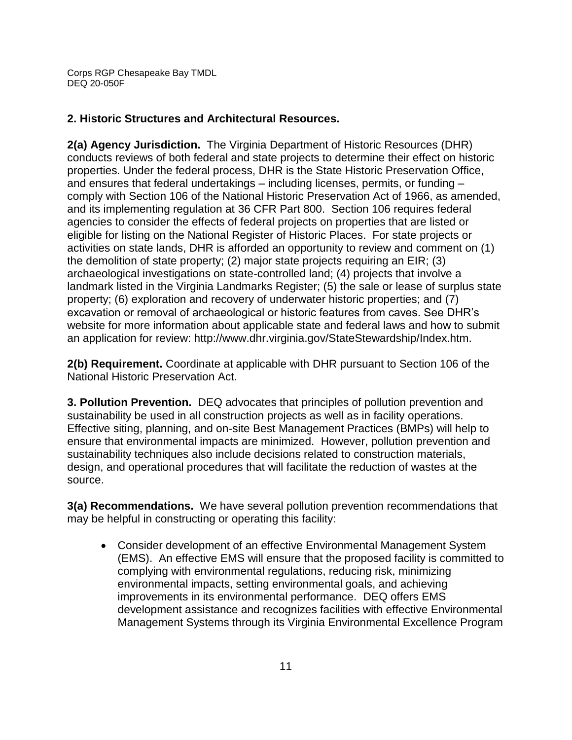## **2. Historic Structures and Architectural Resources.**

**2(a) Agency Jurisdiction.** The Virginia Department of Historic Resources (DHR) conducts reviews of both federal and state projects to determine their effect on historic properties. Under the federal process, DHR is the State Historic Preservation Office, and ensures that federal undertakings – including licenses, permits, or funding – comply with Section 106 of the National Historic Preservation Act of 1966, as amended, and its implementing regulation at 36 CFR Part 800. Section 106 requires federal agencies to consider the effects of federal projects on properties that are listed or eligible for listing on the National Register of Historic Places. For state projects or activities on state lands, DHR is afforded an opportunity to review and comment on (1) the demolition of state property; (2) major state projects requiring an EIR; (3) archaeological investigations on state-controlled land; (4) projects that involve a landmark listed in the Virginia Landmarks Register; (5) the sale or lease of surplus state property; (6) exploration and recovery of underwater historic properties; and (7) excavation or removal of archaeological or historic features from caves. See DHR's website for more information about applicable state and federal laws and how to submit an application for review: http://www.dhr.virginia.gov/StateStewardship/Index.htm.

**2(b) Requirement.** Coordinate at applicable with DHR pursuant to Section 106 of the National Historic Preservation Act.

**3. Pollution Prevention.** DEQ advocates that principles of pollution prevention and sustainability be used in all construction projects as well as in facility operations. Effective siting, planning, and on-site Best Management Practices (BMPs) will help to ensure that environmental impacts are minimized. However, pollution prevention and sustainability techniques also include decisions related to construction materials, design, and operational procedures that will facilitate the reduction of wastes at the source.

**3(a) Recommendations.** We have several pollution prevention recommendations that may be helpful in constructing or operating this facility:

 Consider development of an effective Environmental Management System (EMS). An effective EMS will ensure that the proposed facility is committed to complying with environmental regulations, reducing risk, minimizing environmental impacts, setting environmental goals, and achieving improvements in its environmental performance. DEQ offers EMS development assistance and recognizes facilities with effective Environmental Management Systems through its Virginia Environmental Excellence Program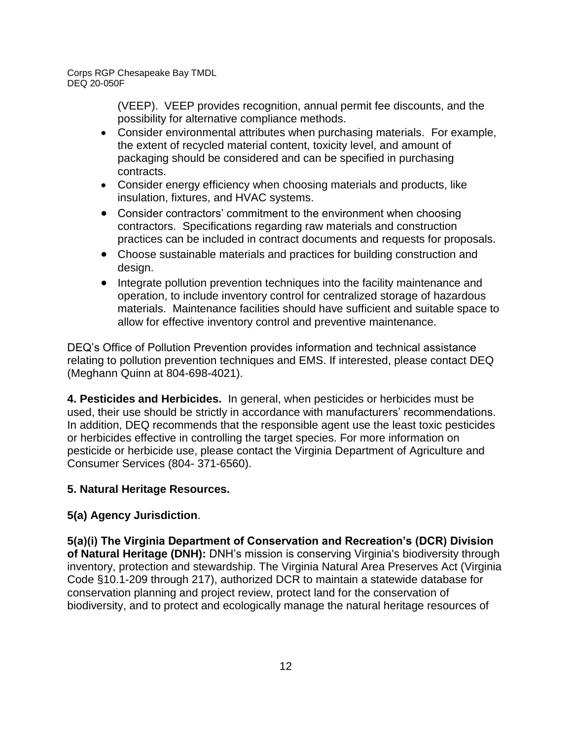> (VEEP). VEEP provides recognition, annual permit fee discounts, and the possibility for alternative compliance methods.

- Consider environmental attributes when purchasing materials. For example, the extent of recycled material content, toxicity level, and amount of packaging should be considered and can be specified in purchasing contracts.
- Consider energy efficiency when choosing materials and products, like insulation, fixtures, and HVAC systems.
- Consider contractors' commitment to the environment when choosing contractors. Specifications regarding raw materials and construction practices can be included in contract documents and requests for proposals.
- Choose sustainable materials and practices for building construction and design.
- Integrate pollution prevention techniques into the facility maintenance and operation, to include inventory control for centralized storage of hazardous materials. Maintenance facilities should have sufficient and suitable space to allow for effective inventory control and preventive maintenance.

DEQ's Office of Pollution Prevention provides information and technical assistance relating to pollution prevention techniques and EMS. If interested, please contact DEQ (Meghann Quinn at 804-698-4021).

**4. Pesticides and Herbicides.** In general, when pesticides or herbicides must be used, their use should be strictly in accordance with manufacturers' recommendations. In addition, DEQ recommends that the responsible agent use the least toxic pesticides or herbicides effective in controlling the target species. For more information on pesticide or herbicide use, please contact the Virginia Department of Agriculture and Consumer Services (804- 371-6560).

## **5. Natural Heritage Resources.**

## **5(a) Agency Jurisdiction**.

**5(a)(i) The Virginia Department of Conservation and Recreation's (DCR) Division of Natural Heritage (DNH):** DNH's mission is conserving Virginia's biodiversity through inventory, protection and stewardship. The Virginia Natural Area Preserves Act (Virginia Code §10.1-209 through 217), authorized DCR to maintain a statewide database for conservation planning and project review, protect land for the conservation of biodiversity, and to protect and ecologically manage the natural heritage resources of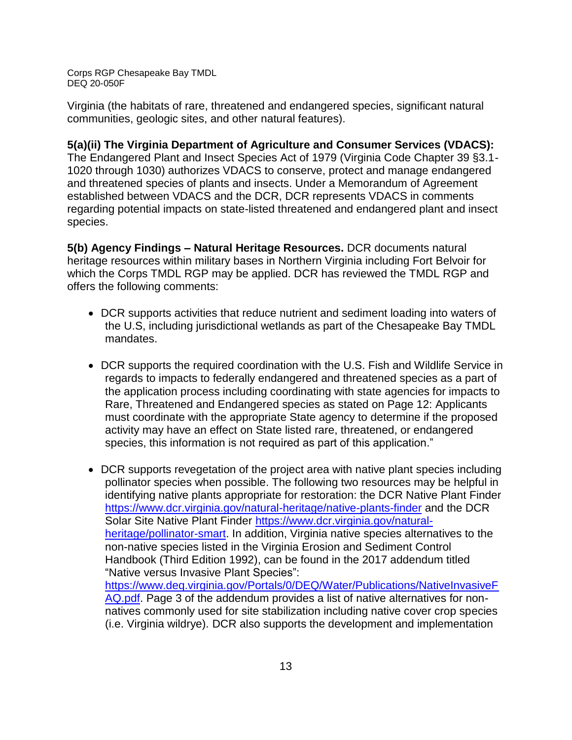Virginia (the habitats of rare, threatened and endangered species, significant natural communities, geologic sites, and other natural features).

## **5(a)(ii) The Virginia Department of Agriculture and Consumer Services (VDACS):**

The Endangered Plant and Insect Species Act of 1979 (Virginia Code Chapter 39 §3.1- 1020 through 1030) authorizes VDACS to conserve, protect and manage endangered and threatened species of plants and insects. Under a Memorandum of Agreement established between VDACS and the DCR, DCR represents VDACS in comments regarding potential impacts on state-listed threatened and endangered plant and insect species.

**5(b) Agency Findings – Natural Heritage Resources.** DCR documents natural heritage resources within military bases in Northern Virginia including Fort Belvoir for which the Corps TMDL RGP may be applied. DCR has reviewed the TMDL RGP and offers the following comments:

- DCR supports activities that reduce nutrient and sediment loading into waters of the U.S, including jurisdictional wetlands as part of the Chesapeake Bay TMDL mandates.
- DCR supports the required coordination with the U.S. Fish and Wildlife Service in regards to impacts to federally endangered and threatened species as a part of the application process including coordinating with state agencies for impacts to Rare, Threatened and Endangered species as stated on Page 12: Applicants must coordinate with the appropriate State agency to determine if the proposed activity may have an effect on State listed rare, threatened, or endangered species, this information is not required as part of this application."
- DCR supports revegetation of the project area with native plant species including pollinator species when possible. The following two resources may be helpful in identifying native plants appropriate for restoration: the DCR Native Plant Finder <https://www.dcr.virginia.gov/natural-heritage/native-plants-finder> and the DCR Solar Site Native Plant Finder [https://www.dcr.virginia.gov/natural](https://www.dcr.virginia.gov/natural-heritage/pollinator-smart)[heritage/pollinator-smart.](https://www.dcr.virginia.gov/natural-heritage/pollinator-smart) In addition, Virginia native species alternatives to the non-native species listed in the Virginia Erosion and Sediment Control Handbook (Third Edition 1992), can be found in the 2017 addendum titled "Native versus Invasive Plant Species": [https://www.deq.virginia.gov/Portals/0/DEQ/Water/Publications/NativeInvasiveF](https://www.deq.virginia.gov/Portals/0/DEQ/Water/Publications/NativeInvasiveFAQ.pdf) [AQ.pdf.](https://www.deq.virginia.gov/Portals/0/DEQ/Water/Publications/NativeInvasiveFAQ.pdf) Page 3 of the addendum provides a list of native alternatives for nonnatives commonly used for site stabilization including native cover crop species (i.e. Virginia wildrye). DCR also supports the development and implementation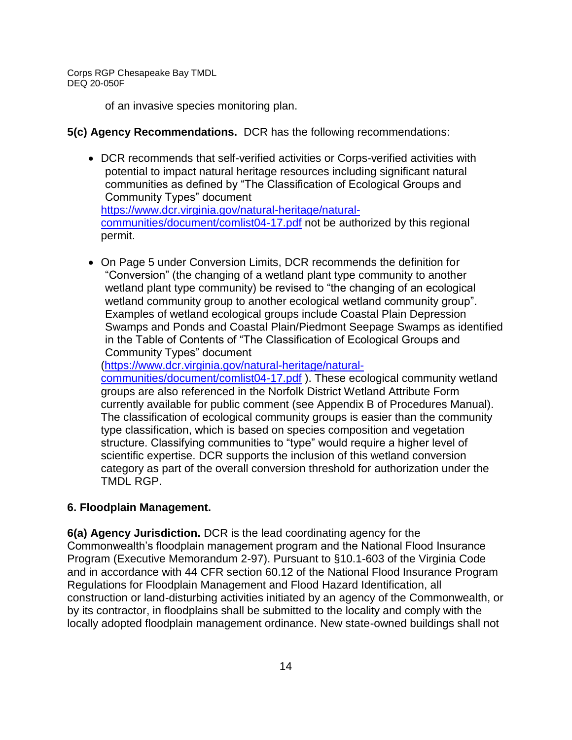of an invasive species monitoring plan.

#### **5(c) Agency Recommendations.** DCR has the following recommendations:

- DCR recommends that self-verified activities or Corps-verified activities with potential to impact natural heritage resources including significant natural communities as defined by "The Classification of Ecological Groups and Community Types" document [https://www.dcr.virginia.gov/natural-heritage/natural](https://www.dcr.virginia.gov/natural-heritage/natural-communities/document/comlist04-17.pdf)[communities/document/comlist04-17.pdf](https://www.dcr.virginia.gov/natural-heritage/natural-communities/document/comlist04-17.pdf) not be authorized by this regional permit.
- On Page 5 under Conversion Limits, DCR recommends the definition for "Conversion" (the changing of a wetland plant type community to another wetland plant type community) be revised to "the changing of an ecological wetland community group to another ecological wetland community group". Examples of wetland ecological groups include Coastal Plain Depression Swamps and Ponds and Coastal Plain/Piedmont Seepage Swamps as identified in the Table of Contents of "The Classification of Ecological Groups and Community Types" document

[\(https://www.dcr.virginia.gov/natural-heritage/natural-](https://www.dcr.virginia.gov/natural-heritage/natural-communities/document/comlist04-17.pdf)

[communities/document/comlist04-17.pdf](https://www.dcr.virginia.gov/natural-heritage/natural-communities/document/comlist04-17.pdf) ). These ecological community wetland groups are also referenced in the Norfolk District Wetland Attribute Form currently available for public comment (see Appendix B of Procedures Manual). The classification of ecological community groups is easier than the community type classification, which is based on species composition and vegetation structure. Classifying communities to "type" would require a higher level of scientific expertise. DCR supports the inclusion of this wetland conversion category as part of the overall conversion threshold for authorization under the TMDL RGP.

## **6. Floodplain Management.**

**6(a) Agency Jurisdiction.** DCR is the lead coordinating agency for the Commonwealth's floodplain management program and the National Flood Insurance Program (Executive Memorandum 2-97). Pursuant to §10.1-603 of the Virginia Code and in accordance with 44 CFR section 60.12 of the National Flood Insurance Program Regulations for Floodplain Management and Flood Hazard Identification, all construction or land-disturbing activities initiated by an agency of the Commonwealth, or by its contractor, in floodplains shall be submitted to the locality and comply with the locally adopted floodplain management ordinance. New state-owned buildings shall not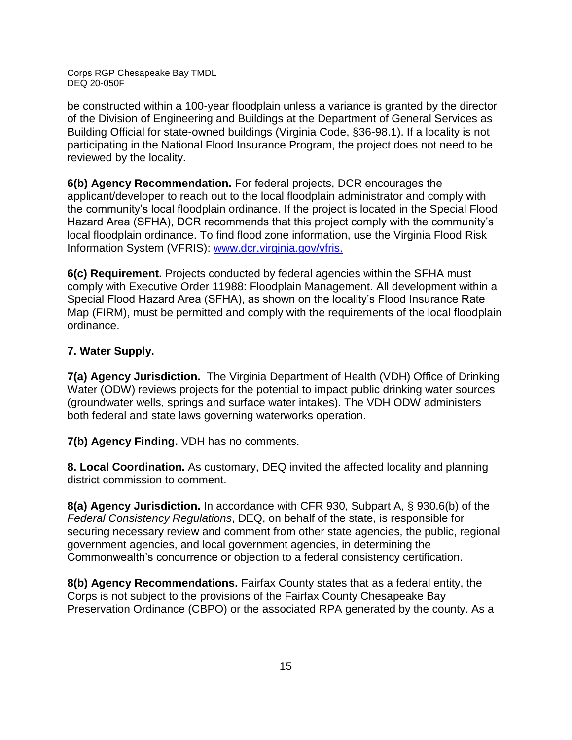be constructed within a 100-year floodplain unless a variance is granted by the director of the Division of Engineering and Buildings at the Department of General Services as Building Official for state-owned buildings (Virginia Code, §36-98.1). If a locality is not participating in the National Flood Insurance Program, the project does not need to be reviewed by the locality.

**6(b) Agency Recommendation.** For federal projects, DCR encourages the applicant/developer to reach out to the local floodplain administrator and comply with the community's local floodplain ordinance. If the project is located in the Special Flood Hazard Area (SFHA), DCR recommends that this project comply with the community's local floodplain ordinance. To find flood zone information, use the Virginia Flood Risk Information System (VFRIS): [www.dcr.virginia.gov/vfris.](http://www.dcr.virginia.gov/vfris)

**6(c) Requirement.** Projects conducted by federal agencies within the SFHA must comply with Executive Order 11988: Floodplain Management. All development within a Special Flood Hazard Area (SFHA), as shown on the locality's Flood Insurance Rate Map (FIRM), must be permitted and comply with the requirements of the local floodplain ordinance.

## **7. Water Supply.**

**7(a) Agency Jurisdiction.** The Virginia Department of Health (VDH) Office of Drinking Water (ODW) reviews projects for the potential to impact public drinking water sources (groundwater wells, springs and surface water intakes). The VDH ODW administers both federal and state laws governing waterworks operation.

**7(b) Agency Finding.** VDH has no comments.

**8. Local Coordination.** As customary, DEQ invited the affected locality and planning district commission to comment.

**8(a) Agency Jurisdiction.** In accordance with CFR 930, Subpart A, § 930.6(b) of the *Federal Consistency Regulations*, DEQ, on behalf of the state, is responsible for securing necessary review and comment from other state agencies, the public, regional government agencies, and local government agencies, in determining the Commonwealth's concurrence or objection to a federal consistency certification.

**8(b) Agency Recommendations.** Fairfax County states that as a federal entity, the Corps is not subject to the provisions of the Fairfax County Chesapeake Bay Preservation Ordinance (CBPO) or the associated RPA generated by the county. As a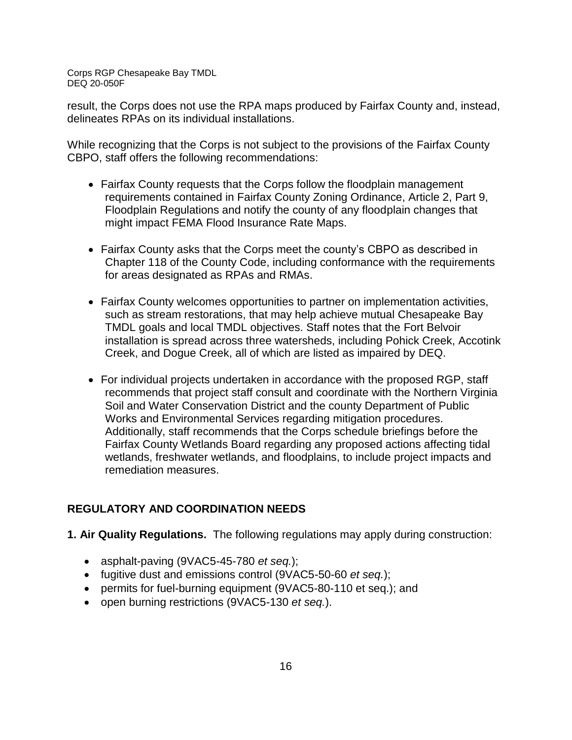result, the Corps does not use the RPA maps produced by Fairfax County and, instead, delineates RPAs on its individual installations.

While recognizing that the Corps is not subject to the provisions of the Fairfax County CBPO, staff offers the following recommendations:

- Fairfax County requests that the Corps follow the floodplain management requirements contained in Fairfax County Zoning Ordinance, Article 2, Part 9, Floodplain Regulations and notify the county of any floodplain changes that might impact FEMA Flood Insurance Rate Maps.
- Fairfax County asks that the Corps meet the county's CBPO as described in Chapter 118 of the County Code, including conformance with the requirements for areas designated as RPAs and RMAs.
- Fairfax County welcomes opportunities to partner on implementation activities, such as stream restorations, that may help achieve mutual Chesapeake Bay TMDL goals and local TMDL objectives. Staff notes that the Fort Belvoir installation is spread across three watersheds, including Pohick Creek, Accotink Creek, and Dogue Creek, all of which are listed as impaired by DEQ.
- For individual projects undertaken in accordance with the proposed RGP, staff recommends that project staff consult and coordinate with the Northern Virginia Soil and Water Conservation District and the county Department of Public Works and Environmental Services regarding mitigation procedures. Additionally, staff recommends that the Corps schedule briefings before the Fairfax County Wetlands Board regarding any proposed actions affecting tidal wetlands, freshwater wetlands, and floodplains, to include project impacts and remediation measures.

## **REGULATORY AND COORDINATION NEEDS**

- **1. Air Quality Regulations.** The following regulations may apply during construction:
	- asphalt-paving (9VAC5-45-780 *et seq.*);
	- fugitive dust and emissions control (9VAC5-50-60 *et seq.*);
	- permits for fuel-burning equipment (9VAC5-80-110 et seq.); and
	- open burning restrictions (9VAC5-130 *et seq.*).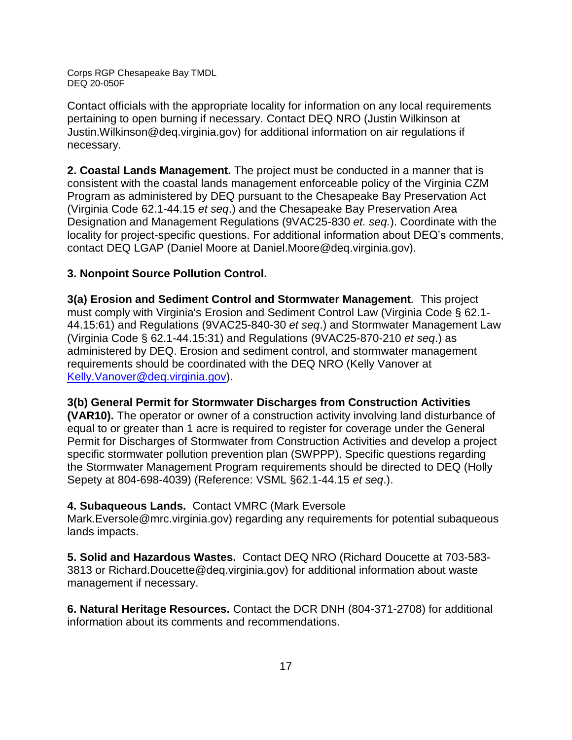Contact officials with the appropriate locality for information on any local requirements pertaining to open burning if necessary. Contact DEQ NRO (Justin Wilkinson at Justin.Wilkinson@deq.virginia.gov) for additional information on air regulations if necessary.

**2. Coastal Lands Management.** The project must be conducted in a manner that is consistent with the coastal lands management enforceable policy of the Virginia CZM Program as administered by DEQ pursuant to the Chesapeake Bay Preservation Act (Virginia Code 62.1-44.15 *et seq*.) and the Chesapeake Bay Preservation Area Designation and Management Regulations (9VAC25-830 *et. seq.*). Coordinate with the locality for project-specific questions. For additional information about DEQ's comments, contact DEQ LGAP (Daniel Moore at Daniel.Moore@deq.virginia.gov).

## **3. Nonpoint Source Pollution Control.**

**3(a) Erosion and Sediment Control and Stormwater Management***.* This project must comply with Virginia's Erosion and Sediment Control Law (Virginia Code § 62.1- 44.15:61) and Regulations (9VAC25-840-30 *et seq*.) and Stormwater Management Law (Virginia Code § 62.1-44.15:31) and Regulations (9VAC25-870-210 *et seq*.) as administered by DEQ. Erosion and sediment control, and stormwater management requirements should be coordinated with the DEQ NRO (Kelly Vanover at [Kelly.Vanover@deq.virginia.gov\)](mailto:Kelly.Vanover@deq.virginia.gov).

**3(b) General Permit for Stormwater Discharges from Construction Activities (VAR10).** The operator or owner of a construction activity involving land disturbance of equal to or greater than 1 acre is required to register for coverage under the General Permit for Discharges of Stormwater from Construction Activities and develop a project specific stormwater pollution prevention plan (SWPPP). Specific questions regarding the Stormwater Management Program requirements should be directed to DEQ (Holly Sepety at 804-698-4039) (Reference: VSML §62.1-44.15 *et seq*.).

## **4. Subaqueous Lands.** Contact VMRC (Mark Eversole

Mark.Eversole@mrc.virginia.gov) regarding any requirements for potential subaqueous lands impacts.

**5. Solid and Hazardous Wastes.** Contact DEQ NRO (Richard Doucette at 703-583- 3813 or Richard.Doucette@deq.virginia.gov) for additional information about waste management if necessary.

**6. Natural Heritage Resources.** Contact the DCR DNH (804-371-2708) for additional information about its comments and recommendations.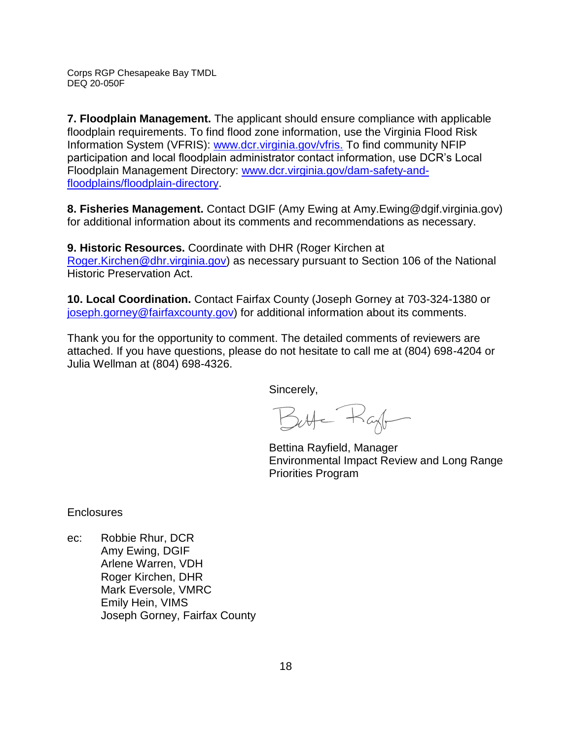**7. Floodplain Management.** The applicant should ensure compliance with applicable floodplain requirements. To find flood zone information, use the Virginia Flood Risk Information System (VFRIS): [www.dcr.virginia.gov/vfris.](http://www.dcr.virginia.gov/vfris) To find community NFIP participation and local floodplain administrator contact information, use DCR's Local Floodplain Management Directory: [www.dcr.virginia.gov/dam-safety-and](http://www.dcr.virginia.gov/dam-safety-and-floodplains/floodplain-directory)[floodplains/floodplain-directory.](http://www.dcr.virginia.gov/dam-safety-and-floodplains/floodplain-directory)

**8. Fisheries Management.** Contact DGIF (Amy Ewing at Amy.Ewing@dgif.virginia.gov) for additional information about its comments and recommendations as necessary.

**9. Historic Resources.** Coordinate with DHR (Roger Kirchen at [Roger.Kirchen@dhr.virginia.gov\)](mailto:Roger.Kirchen@dhr.virginia.gov) as necessary pursuant to Section 106 of the National Historic Preservation Act.

**10. Local Coordination.** Contact Fairfax County (Joseph Gorney at 703-324-1380 or [joseph.gorney@fairfaxcounty.gov\)](mailto:joseph.gorney@fairfaxcounty.gov) for additional information about its comments.

Thank you for the opportunity to comment. The detailed comments of reviewers are attached. If you have questions, please do not hesitate to call me at (804) 698-4204 or Julia Wellman at (804) 698-4326.

Sincerely,

But Raft

Bettina Rayfield, Manager Environmental Impact Review and Long Range Priorities Program

**Enclosures** 

ec: Robbie Rhur, DCR Amy Ewing, DGIF Arlene Warren, VDH Roger Kirchen, DHR Mark Eversole, VMRC Emily Hein, VIMS Joseph Gorney, Fairfax County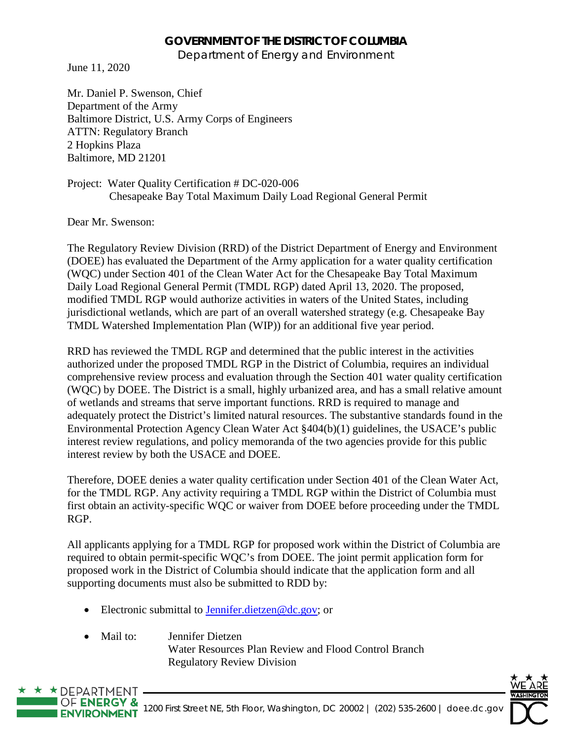## **GOVERNMENT OF THE DISTRICT OF COLUMBIA**

Department of Energy and Environment

June 11, 2020

Mr. Daniel P. Swenson, Chief Department of the Army Baltimore District, U.S. Army Corps of Engineers ATTN: Regulatory Branch 2 Hopkins Plaza Baltimore, MD 21201

Project: Water Quality Certification # DC-020-006 Chesapeake Bay Total Maximum Daily Load Regional General Permit

Dear Mr. Swenson:

 $\star$  DEPARTMENT

The Regulatory Review Division (RRD) of the District Department of Energy and Environment (DOEE) has evaluated the Department of the Army application for a water quality certification (WQC) under Section 401 of the Clean Water Act for the Chesapeake Bay Total Maximum Daily Load Regional General Permit (TMDL RGP) dated April 13, 2020. The proposed, modified TMDL RGP would authorize activities in waters of the United States, including jurisdictional wetlands, which are part of an overall watershed strategy (e.g. Chesapeake Bay TMDL Watershed Implementation Plan (WIP)) for an additional five year period.

RRD has reviewed the TMDL RGP and determined that the public interest in the activities authorized under the proposed TMDL RGP in the District of Columbia, requires an individual comprehensive review process and evaluation through the Section 401 water quality certification (WQC) by DOEE. The District is a small, highly urbanized area, and has a small relative amount of wetlands and streams that serve important functions. RRD is required to manage and adequately protect the District's limited natural resources. The substantive standards found in the Environmental Protection Agency Clean Water Act §404(b)(1) guidelines, the USACE's public interest review regulations, and policy memoranda of the two agencies provide for this public interest review by both the USACE and DOEE.

Therefore, DOEE denies a water quality certification under Section 401 of the Clean Water Act, for the TMDL RGP. Any activity requiring a TMDL RGP within the District of Columbia must first obtain an activity-specific WQC or waiver from DOEE before proceeding under the TMDL RGP.

All applicants applying for a TMDL RGP for proposed work within the District of Columbia are required to obtain permit-specific WQC's from DOEE. The joint permit application form for proposed work in the District of Columbia should indicate that the application form and all supporting documents must also be submitted to RDD by:

- Electronic submittal to **Jennifer.dietzen** $@dc.gov$ ; or
- Mail to: Jennifer Dietzen Water Resources Plan Review and Flood Control Branch Regulatory Review Division